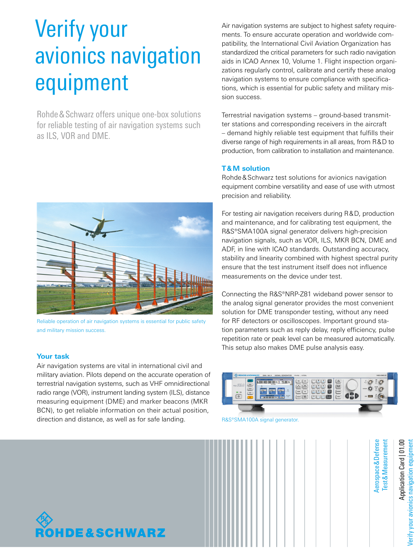# Verify your avionics navigation equipment

Rohde&Schwarz offers unique one-box solutions for reliable testing of air navigation systems such as ILS, VOR and DME.



Reliable operation of air navigation systems is essential for public safety and military mission success.

## **Your task**

Air navigation systems are vital in international civil and military aviation. Pilots depend on the accurate operation of terrestrial navigation systems, such as VHF omnidirectional radio range (VOR), instrument landing system (ILS), distance measuring equipment (DME) and marker beacons (MKR BCN), to get reliable information on their actual position, direction and distance, as well as for safe landing.

Air navigation systems are subject to highest safety requirements. To ensure accurate operation and worldwide compatibility, the International Civil Aviation Organization has standardized the critical parameters for such radio navigation aids in ICAO Annex 10, Volume 1. Flight inspection organizations regularly control, calibrate and certify these analog navigation systems to ensure compliance with specifications, which is essential for public safety and military mission success.

Terrestrial navigation systems – ground-based transmitter stations and corresponding receivers in the aircraft – demand highly reliable test equipment that fulfills their diverse range of high requirements in all areas, from R&D to production, from calibration to installation and maintenance.

### **T&M solution**

Rohde&Schwarz test solutions for avionics navigation equipment combine versatility and ease of use with utmost precision and reliability.

For testing air navigation receivers during R&D, production and maintenance, and for calibrating test equipment, the R&S®SMA100A signal generator delivers high-precision navigation signals, such as VOR, ILS, MKR BCN, DME and ADF, in line with ICAO standards. Outstanding accuracy, stability and linearity combined with highest spectral purity ensure that the test instrument itself does not influence measurements on the device under test.

Connecting the R&S®NRP-Z81 wideband power sensor to the analog signal generator provides the most convenient solution for DME transponder testing, without any need for RF detectors or oscilloscopes. Important ground station parameters such as reply delay, reply efficiency, pulse repetition rate or peak level can be measured automatically. This setup also makes DME pulse analysis easy.



R&S®SMA100A signal generator.



Application Card | 01.00 Verify your avionics navigation equipment Application Card | 01.00 /erify your avionics navigation equipmen

Aerospace

**Test & Measurement** &Measurement

&Defense